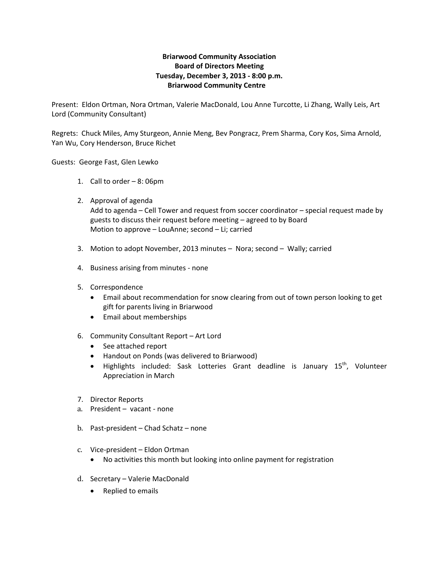## **Briarwood Community Association Board of Directors Meeting Tuesday, December 3, 2013 ‐ 8:00 p.m. Briarwood Community Centre**

Present: Eldon Ortman, Nora Ortman, Valerie MacDonald, Lou Anne Turcotte, Li Zhang, Wally Leis, Art Lord (Community Consultant)

Regrets: Chuck Miles, Amy Sturgeon, Annie Meng, Bev Pongracz, Prem Sharma, Cory Kos, Sima Arnold, Yan Wu, Cory Henderson, Bruce Richet

Guests: George Fast, Glen Lewko

- 1. Call to order 8: 06pm
- 2. Approval of agenda Add to agenda – Cell Tower and request from soccer coordinator – special request made by guests to discuss their request before meeting – agreed to by Board Motion to approve – LouAnne; second – Li; carried
- 3. Motion to adopt November, 2013 minutes Nora; second Wally; carried
- 4. Business arising from minutes ‐ none
- 5. Correspondence
	- Email about recommendation for snow clearing from out of town person looking to get gift for parents living in Briarwood
	- Email about memberships
- 6. Community Consultant Report Art Lord
	- See attached report
	- Handout on Ponds (was delivered to Briarwood)
	- Highlights included: Sask Lotteries Grant deadline is January 15<sup>th</sup>, Volunteer Appreciation in March
- 7. Director Reports
- a. President vacant ‐ none
- b. Past‐president Chad Schatz none
- c. Vice‐president Eldon Ortman
	- No activities this month but looking into online payment for registration
- d. Secretary Valerie MacDonald
	- Replied to emails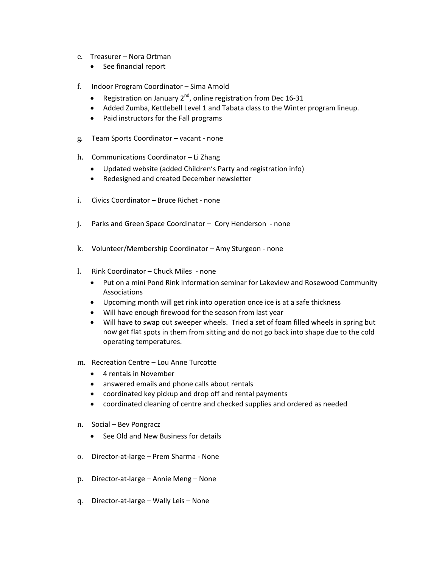- e. Treasurer Nora Ortman
	- See financial report
- f. Indoor Program Coordinator Sima Arnold
	- Registration on January  $2^{nd}$ , online registration from Dec 16-31
	- Added Zumba, Kettlebell Level 1 and Tabata class to the Winter program lineup.
	- Paid instructors for the Fall programs
- g. Team Sports Coordinator vacant ‐ none
- h. Communications Coordinator Li Zhang
	- Updated website (added Children's Party and registration info)
	- Redesigned and created December newsletter
- i. Civics Coordinator Bruce Richet ‐ none
- j. Parks and Green Space Coordinator Cory Henderson ‐ none
- k. Volunteer/Membership Coordinator Amy Sturgeon ‐ none
- l. Rink Coordinator Chuck Miles ‐ none
	- Put on a mini Pond Rink information seminar for Lakeview and Rosewood Community Associations
	- Upcoming month will get rink into operation once ice is at a safe thickness
	- Will have enough firewood for the season from last year
	- Will have to swap out sweeper wheels. Tried a set of foam filled wheels in spring but now get flat spots in them from sitting and do not go back into shape due to the cold operating temperatures.
- m. Recreation Centre Lou Anne Turcotte
	- 4 rentals in November
	- answered emails and phone calls about rentals
	- coordinated key pickup and drop off and rental payments
	- coordinated cleaning of centre and checked supplies and ordered as needed
- n. Social Bev Pongracz
	- See Old and New Business for details
- o. Director‐at‐large Prem Sharma ‐ None
- p. Director‐at‐large Annie Meng None
- q. Director‐at‐large Wally Leis None